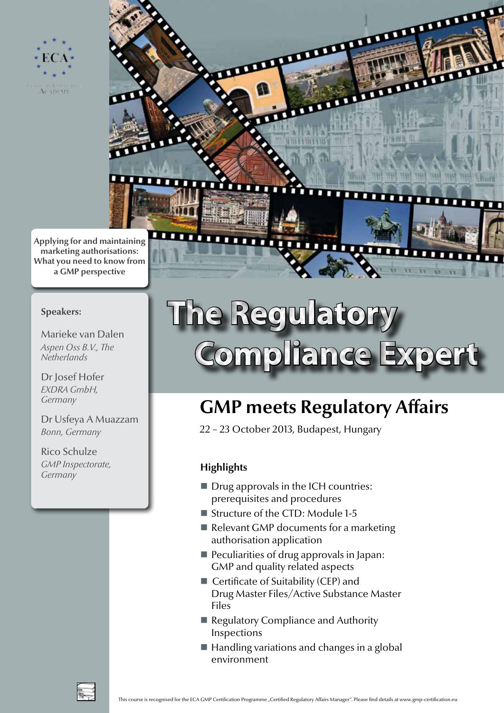

The party of the Miller 14914449 THE THE SAM THE THE THE SAME THE THE Weeth Ш m **TTT TIQUES** ww **Applying for and maintaining Typing ma marketing authorisations: What you need to know from** 

 **Speakers:** Marieke van Dalen *Aspen Oss B.V., The Netherlands*

**a GMP perspective**

í

Dr Josef Hofer *EXDRA GmbH, Germany*

Dr Usfeya A Muazzam *Bonn, Germany*

Rico Schulze *GMP Inspectorate, Germany*

# **e Regulatory pliance Expert**

## **GMP meets Regulatory Affairs**

22 – 23 October 2013, Budapest, Hungary

#### **Highlights**

- Drug approvals in the ICH countries: prerequisites and procedures
- Structure of the CTD: Module 1-5
- Relevant GMP documents for a marketing authorisation application
- **Peculiarities of drug approvals in Japan:** GMP and quality related aspects
- Certificate of Suitability (CEP) and Drug Master Files/Active Substance Master Files
- Regulatory Compliance and Authority Inspections
- $\blacksquare$  Handling variations and changes in a global environment

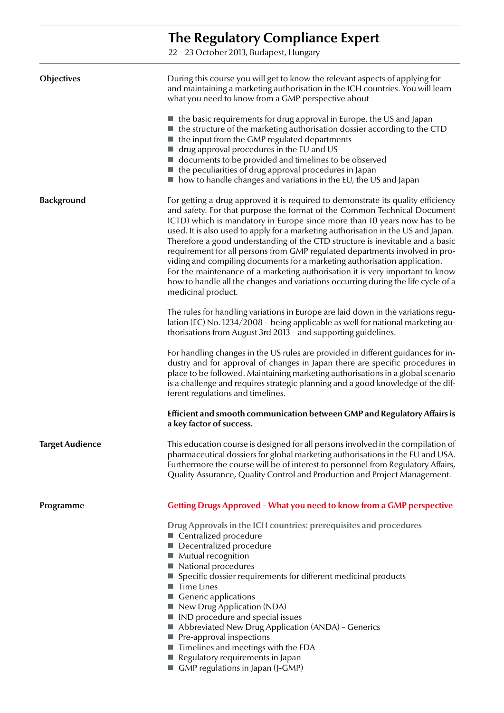### **The Regulatory Compliance Expert**

22 – 23 October 2013, Budapest, Hungary

| <b>Objectives</b>      | During this course you will get to know the relevant aspects of applying for<br>and maintaining a marketing authorisation in the ICH countries. You will learn<br>what you need to know from a GMP perspective about                                                                                                                                                                                                                                                                                                                                                                                                                                                                                                                                                                                                                                         |
|------------------------|--------------------------------------------------------------------------------------------------------------------------------------------------------------------------------------------------------------------------------------------------------------------------------------------------------------------------------------------------------------------------------------------------------------------------------------------------------------------------------------------------------------------------------------------------------------------------------------------------------------------------------------------------------------------------------------------------------------------------------------------------------------------------------------------------------------------------------------------------------------|
|                        | $\blacksquare$ the basic requirements for drug approval in Europe, the US and Japan<br>$\blacksquare$ the structure of the marketing authorisation dossier according to the CTD<br>■ the input from the GMP regulated departments<br>■ drug approval procedures in the EU and US<br>■ documents to be provided and timelines to be observed<br>$\blacksquare$ the peculiarities of drug approval procedures in Japan<br>■ how to handle changes and variations in the EU, the US and Japan                                                                                                                                                                                                                                                                                                                                                                   |
| <b>Background</b>      | For getting a drug approved it is required to demonstrate its quality efficiency<br>and safety. For that purpose the format of the Common Technical Document<br>(CTD) which is mandatory in Europe since more than 10 years now has to be<br>used. It is also used to apply for a marketing authorisation in the US and Japan.<br>Therefore a good understanding of the CTD structure is inevitable and a basic<br>requirement for all persons from GMP regulated departments involved in pro-<br>viding and compiling documents for a marketing authorisation application.<br>For the maintenance of a marketing authorisation it is very important to know<br>how to handle all the changes and variations occurring during the life cycle of a<br>medicinal product.<br>The rules for handling variations in Europe are laid down in the variations regu- |
|                        | lation (EC) No. 1234/2008 - being applicable as well for national marketing au-<br>thorisations from August 3rd 2013 - and supporting guidelines.                                                                                                                                                                                                                                                                                                                                                                                                                                                                                                                                                                                                                                                                                                            |
|                        | For handling changes in the US rules are provided in different guidances for in-<br>dustry and for approval of changes in Japan there are specific procedures in<br>place to be followed. Maintaining marketing authorisations in a global scenario<br>is a challenge and requires strategic planning and a good knowledge of the dif-<br>ferent regulations and timelines.                                                                                                                                                                                                                                                                                                                                                                                                                                                                                  |
|                        | Efficient and smooth communication between GMP and Regulatory Affairs is<br>a key factor of success.                                                                                                                                                                                                                                                                                                                                                                                                                                                                                                                                                                                                                                                                                                                                                         |
| <b>Target Audience</b> | This education course is designed for all persons involved in the compilation of<br>pharmaceutical dossiers for global marketing authorisations in the EU and USA.<br>Furthermore the course will be of interest to personnel from Regulatory Affairs,<br>Quality Assurance, Quality Control and Production and Project Management.                                                                                                                                                                                                                                                                                                                                                                                                                                                                                                                          |
| Programme              | <b>Getting Drugs Approved - What you need to know from a GMP perspective</b>                                                                                                                                                                                                                                                                                                                                                                                                                                                                                                                                                                                                                                                                                                                                                                                 |
|                        | Drug Approvals in the ICH countries: prerequisites and procedures<br>■ Centralized procedure<br>Decentralized procedure<br>$\blacksquare$ Mutual recognition<br>National procedures<br>Specific dossier requirements for different medicinal products<br>Time Lines<br><b>Generic applications</b><br>■ New Drug Application (NDA)<br>IND procedure and special issues<br>Abbreviated New Drug Application (ANDA) - Generics<br>$\blacksquare$ Pre-approval inspections<br>$\blacksquare$ Timelines and meetings with the FDA<br>Regulatory requirements in Japan<br>■ GMP regulations in Japan (J-GMP)                                                                                                                                                                                                                                                      |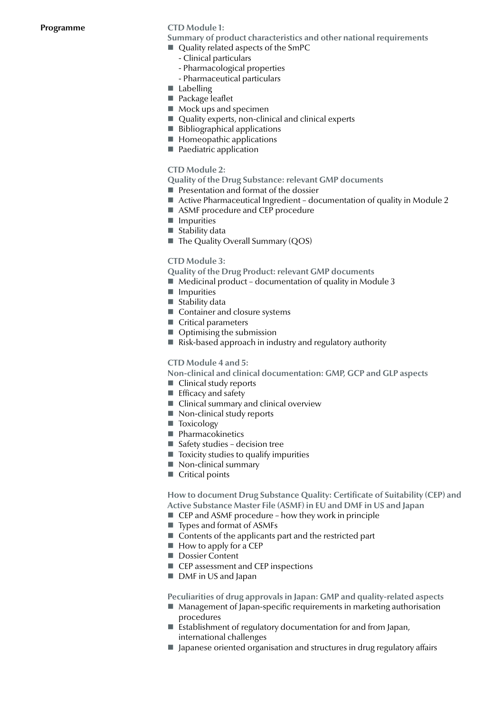**Programme**

**CTD Module 1:** 

**Summary of product characteristics and other national requirements**

- Quality related aspects of the SmPC
	- Clinical particulars
	- Pharmacological properties
	- Pharmaceutical particulars
- Labelling
- **Package leaflet**
- $\blacksquare$  Mock ups and specimen
- Quality experts, non-clinical and clinical experts
- Bibliographical applications
- Homeopathic applications
- **Paediatric application**

#### **CTD Module 2:**

**Quality of the Drug Substance: relevant GMP documents**

- **Presentation and format of the dossier**
- $\blacksquare$  Active Pharmaceutical Ingredient documentation of quality in Module 2
- ASMF procedure and CEP procedure
- **Impurities**
- Stability data
- The Quality Overall Summary (QOS)

#### **CTD Module 3:**

**Quality of the Drug Product: relevant GMP documents**

- $\blacksquare$  Medicinal product documentation of quality in Module 3
- **Impurities**
- $\blacksquare$  Stability data
- Container and closure systems
- Critical parameters
- Optimising the submission
- Risk-based approach in industry and regulatory authority

#### **CTD Module 4 and 5:**

**Non-clinical and clinical documentation: GMP, GCP and GLP aspects**

- Clinical study reports
- $\blacksquare$  Efficacy and safety
- Clinical summary and clinical overview
- $\blacksquare$  Non-clinical study reports
- Toxicology
- **Pharmacokinetics**
- Safety studies decision tree
- $\blacksquare$  Toxicity studies to qualify impurities
- Non-clinical summary
- Critical points

**How to document Drug Substance Quality: Certificate of Suitability (CEP) and Active Substance Master File (ASMF) in EU and DMF in US and Japan**

- $\blacksquare$  CEP and ASMF procedure how they work in principle
- Types and format of ASMFs
- $\blacksquare$  Contents of the applicants part and the restricted part
- $\blacksquare$  How to apply for a CEP
- **Dossier Content**
- CEP assessment and CEP inspections
- **DMF** in US and Japan

**Peculiarities of drug approvals in Japan: GMP and quality-related aspects**

- $\blacksquare$  Management of Japan-specific requirements in marketing authorisation procedures
- Establishment of regulatory documentation for and from Japan, international challenges
- $\blacksquare$  Japanese oriented organisation and structures in drug regulatory affairs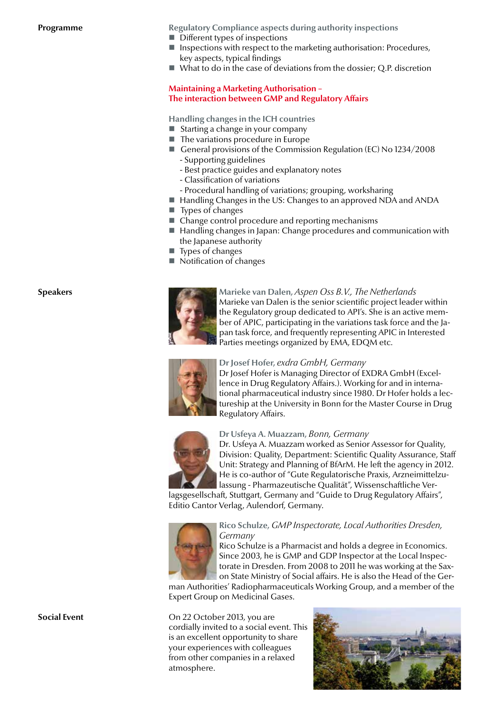**Programme**

**Regulatory Compliance aspects during authority inspections**

■ Different types of inspections

- $\blacksquare$  Inspections with respect to the marketing authorisation: Procedures, key aspects, typical findings
- What to do in the case of deviations from the dossier; Q.P. discretion

#### **Maintaining a Marketing Authorisation – The interaction between GMP and Regulatory Affairs**

**Handling changes in the ICH countries**

- $\blacksquare$  Starting a change in your company
- $\blacksquare$  The variations procedure in Europe
- General provisions of the Commission Regulation (EC) No 1234/2008 - Supporting guidelines
	- Best practice guides and explanatory notes
	- Classification of variations
	- Procedural handling of variations; grouping, worksharing
- Handling Changes in the US: Changes to an approved NDA and ANDA
- $\blacksquare$  Types of changes
- Change control procedure and reporting mechanisms
- $\blacksquare$  Handling changes in Japan: Change procedures and communication with the Japanese authority
- $\blacksquare$  Types of changes
- Notification of changes

#### **Speakers**



**Marieke van Dalen,** *Aspen Oss B.V., The Netherlands* Marieke van Dalen is the senior scientific project leader within the Regulatory group dedicated to API's. She is an active member of APIC, participating in the variations task force and the Japan task force, and frequently representing APIC in Interested Parties meetings organized by EMA, EDQM etc.



#### **Dr Josef Hofer,** *exdra GmbH, Germany*

Dr Josef Hofer is Managing Director of EXDRA GmbH (Excellence in Drug Regulatory Affairs.). Working for and in international pharmaceutical industry since 1980. Dr Hofer holds a lectureship at the University in Bonn for the Master Course in Drug Regulatory Affairs.



#### **Dr Usfeya A. Muazzam,** *Bonn, Germany*

Dr. Usfeya A. Muazzam worked as Senior Assessor for Quality, Division: Quality, Department: Scientific Quality Assurance, Staff Unit: Strategy and Planning of BfArM. He left the agency in 2012. He is co-author of "Gute Regulatorische Praxis, Arzneimittelzulassung - Pharmazeutische Qualität", Wissenschaftliche Ver-

lagsgesellschaft, Stuttgart, Germany and "Guide to Drug Regulatory Affairs", Editio Cantor Verlag, Aulendorf, Germany.



#### **Rico Schulze,** *GMP Inspectorate, Local Authorities Dresden, Germany*

Rico Schulze is a Pharmacist and holds a degree in Economics. Since 2003, he is GMP and GDP Inspector at the Local Inspectorate in Dresden. From 2008 to 2011 he was working at the Saxon State Ministry of Social affairs. He is also the Head of the Ger-

man Authorities' Radiopharmaceuticals Working Group, and a member of the Expert Group on Medicinal Gases.

On 22 October 2013, you are cordially invited to a social event. This is an excellent opportunity to share your experiences with colleagues from other companies in a relaxed atmosphere.



**Social Event**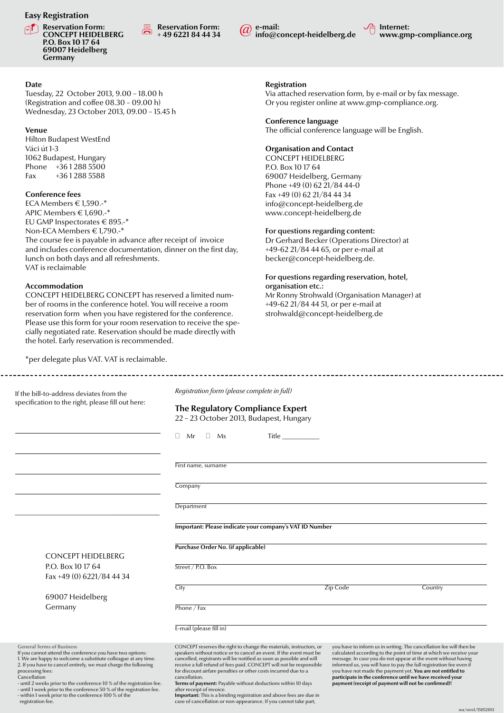#### **Easy Registration**



#### **Date**

Tuesday, 22 October 2013, 9.00 – 18.00 h (Registration and coffee 08.30 – 09.00 h) Wednesday, 23 October 2013, 09.00 – 15.45 h

#### **Venue**

Hilton Budapest WestEnd Váci út 1-3 1062 Budapest, Hungary Phone +36 1 288 5500 Fax +36 1 288 5588

#### **Conference fees**

ECA Members € 1,590.-\* APIC Members € 1,690.-\* EU GMP Inspectorates € 895.-\* Non-ECA Members € 1,790.-\* The course fee is payable in advance after receipt of invoice and includes conference documentation, dinner on the first day, lunch on both days and all refreshments. VAT is reclaimable

**Reservation Form:**

**Reservation Form:**  $\omega$  e-mail:<br>+49 6221 84 44 34  $\omega$  info@c

#### **Accommodation**

CONCEPT HEIDELBERG CONCEPT has reserved a limited number of rooms in the conference hotel. You will receive a room reservation form when you have registered for the conference. Please use this form for your room reservation to receive the specially negotiated rate. Reservation should be made directly with the hotel. Early reservation is recommended.

\*per delegate plus VAT. VAT is reclaimable.

**Registration**

Via attached reservation form, by e-mail or by fax message. Or you register online at www.gmp-compliance.org.

**www.gmp-compliance.org**

#### **Conference language**

The official conference language will be English.

**info@concept-heidelberg.de Internet:**

#### **Organisation and Contact**

CONCEPT HEIDELBERG P.O. Box 10 17 64 69007 Heidelberg, Germany Phone +49 (0) 62 21/84 44-0 Fax +49 (0) 62 21/84 44 34 info@concept-heidelberg.de www.concept-heidelberg.de

#### For questions regarding content:

Dr Gerhard Becker (Operations Director) at +49-62 21/84 44 65, or per e-mail at becker@concept-heidelberg.de.

#### For questions regarding reservation, hotel, organisation etc.:

Mr Ronny Strohwald (Organisation Manager) at +49-62 21/84 44 51, or per e-mail at strohwald@concept-heidelberg.de

| If the bill-to-address deviates from the<br>specification to the right, please fill out here:                                                                                                                                                                                                                                                                                                                                                                                                        | Registration form (please complete in full)<br>The Regulatory Compliance Expert<br>22 - 23 October 2013, Budapest, Hungary<br>Title<br>$\Box$ Ms<br>П<br>Mr                                                                                                                                                                                                                                                                                                                                                                                                                                                          |                                                                                                                                                                                                                                                                                                                                                                                                                                                                      |         |
|------------------------------------------------------------------------------------------------------------------------------------------------------------------------------------------------------------------------------------------------------------------------------------------------------------------------------------------------------------------------------------------------------------------------------------------------------------------------------------------------------|----------------------------------------------------------------------------------------------------------------------------------------------------------------------------------------------------------------------------------------------------------------------------------------------------------------------------------------------------------------------------------------------------------------------------------------------------------------------------------------------------------------------------------------------------------------------------------------------------------------------|----------------------------------------------------------------------------------------------------------------------------------------------------------------------------------------------------------------------------------------------------------------------------------------------------------------------------------------------------------------------------------------------------------------------------------------------------------------------|---------|
|                                                                                                                                                                                                                                                                                                                                                                                                                                                                                                      | First name, surname                                                                                                                                                                                                                                                                                                                                                                                                                                                                                                                                                                                                  |                                                                                                                                                                                                                                                                                                                                                                                                                                                                      |         |
|                                                                                                                                                                                                                                                                                                                                                                                                                                                                                                      | Company                                                                                                                                                                                                                                                                                                                                                                                                                                                                                                                                                                                                              |                                                                                                                                                                                                                                                                                                                                                                                                                                                                      |         |
|                                                                                                                                                                                                                                                                                                                                                                                                                                                                                                      | Department                                                                                                                                                                                                                                                                                                                                                                                                                                                                                                                                                                                                           |                                                                                                                                                                                                                                                                                                                                                                                                                                                                      |         |
|                                                                                                                                                                                                                                                                                                                                                                                                                                                                                                      | Important: Please indicate your company's VAT ID Number                                                                                                                                                                                                                                                                                                                                                                                                                                                                                                                                                              |                                                                                                                                                                                                                                                                                                                                                                                                                                                                      |         |
| <b>CONCEPT HEIDELBERG</b><br>P.O. Box 10 17 64                                                                                                                                                                                                                                                                                                                                                                                                                                                       | Purchase Order No. (if applicable)<br>Street / P.O. Box                                                                                                                                                                                                                                                                                                                                                                                                                                                                                                                                                              |                                                                                                                                                                                                                                                                                                                                                                                                                                                                      |         |
| Fax +49 (0) 6221/84 44 34                                                                                                                                                                                                                                                                                                                                                                                                                                                                            | City                                                                                                                                                                                                                                                                                                                                                                                                                                                                                                                                                                                                                 | Zip Code                                                                                                                                                                                                                                                                                                                                                                                                                                                             | Country |
| 69007 Heidelberg<br>Germany                                                                                                                                                                                                                                                                                                                                                                                                                                                                          | Phone / Fax                                                                                                                                                                                                                                                                                                                                                                                                                                                                                                                                                                                                          |                                                                                                                                                                                                                                                                                                                                                                                                                                                                      |         |
|                                                                                                                                                                                                                                                                                                                                                                                                                                                                                                      | E-mail (please fill in)                                                                                                                                                                                                                                                                                                                                                                                                                                                                                                                                                                                              |                                                                                                                                                                                                                                                                                                                                                                                                                                                                      |         |
| <b>General Terms of Business</b><br>If you cannot attend the conference you have two options:<br>1. We are happy to welcome a substitute colleague at any time.<br>2. If you have to cancel entirely, we must charge the following<br>processing fees:<br>Cancellation<br>- until 2 weeks prior to the conference 10 % of the registration fee.<br>- until 1 week prior to the conference 50 % of the registration fee.<br>- within 1 week prior to the conference 100 % of the<br>registration fee. | CONCEPT reserves the right to change the materials, instructors, or<br>speakers without notice or to cancel an event. If the event must be<br>cancelled, registrants will be notified as soon as possible and will<br>receive a full refund of fees paid. CONCEPT will not be responsible<br>for discount airfare penalties or other costs incurred due to a<br>cancellation.<br>Terms of payment: Payable without deductions within 10 days<br>after receipt of invoice.<br>Important: This is a binding registration and above fees are due in<br>case of cancellation or non-appearance. If you cannot take part, | you have to inform us in writing. The cancellation fee will then be<br>calculated according to the point of time at which we receive your<br>message. In case you do not appear at the event without having<br>informed us, you will have to pay the full registration fee even if<br>you have not made the payment yet. You are not entitled to<br>participate in the conference until we have received your<br>payment (receipt of payment will not be confirmed)! |         |